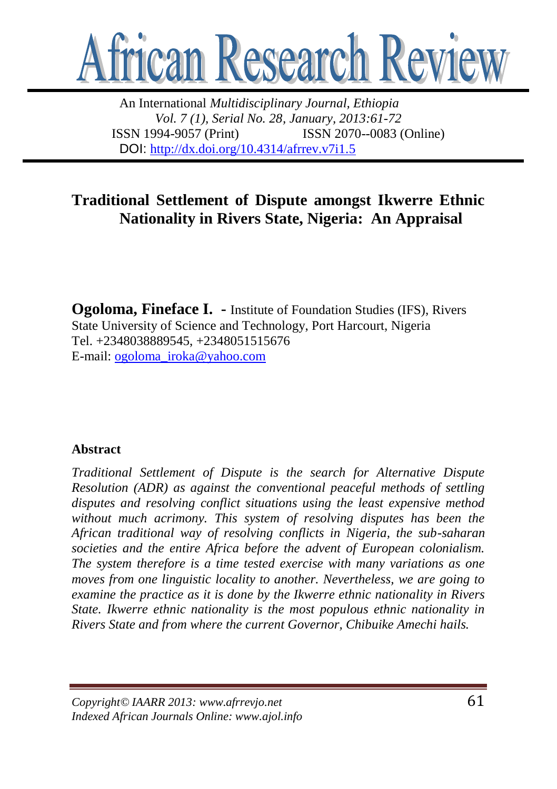

An International *Multidisciplinary Journal, Ethiopia Vol. 7 (1), Serial No. 28, January, 2013:61-72* ISSN 1994-9057 (Print) ISSN 2070--0083 (Online) DOI: <http://dx.doi.org/10.4314/afrrev.v7i1.5>

# **Traditional Settlement of Dispute amongst Ikwerre Ethnic Nationality in Rivers State, Nigeria: An Appraisal**

**Ogoloma, Fineface I. -** Institute of Foundation Studies (IFS), Rivers State University of Science and Technology, Port Harcourt, Nigeria Tel. +2348038889545, +2348051515676 E-mail: [ogoloma\\_iroka@yahoo.com](mailto:ogoloma_iroka@yahoo.com)

### **Abstract**

*Traditional Settlement of Dispute is the search for Alternative Dispute Resolution (ADR) as against the conventional peaceful methods of settling disputes and resolving conflict situations using the least expensive method without much acrimony. This system of resolving disputes has been the African traditional way of resolving conflicts in Nigeria, the sub-saharan societies and the entire Africa before the advent of European colonialism. The system therefore is a time tested exercise with many variations as one moves from one linguistic locality to another. Nevertheless, we are going to examine the practice as it is done by the Ikwerre ethnic nationality in Rivers State. Ikwerre ethnic nationality is the most populous ethnic nationality in Rivers State and from where the current Governor, Chibuike Amechi hails.*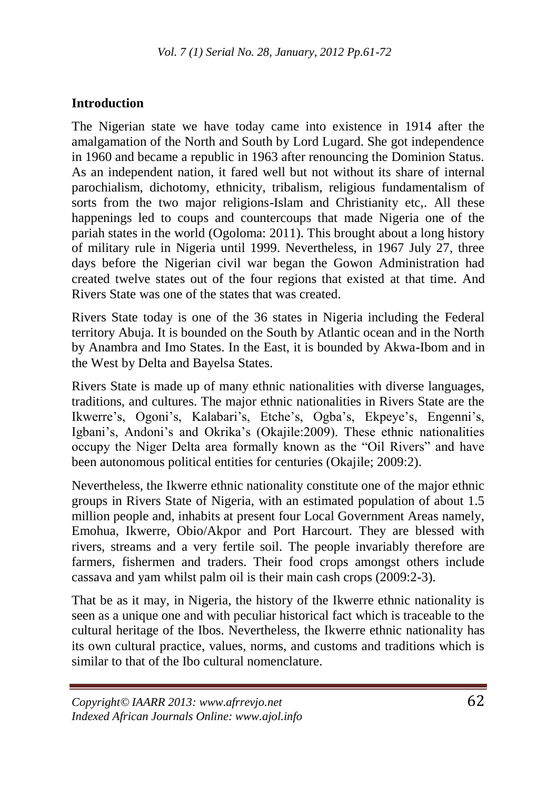### **Introduction**

The Nigerian state we have today came into existence in 1914 after the amalgamation of the North and South by Lord Lugard. She got independence in 1960 and became a republic in 1963 after renouncing the Dominion Status. As an independent nation, it fared well but not without its share of internal parochialism, dichotomy, ethnicity, tribalism, religious fundamentalism of sorts from the two major religions-Islam and Christianity etc,. All these happenings led to coups and countercoups that made Nigeria one of the pariah states in the world (Ogoloma: 2011). This brought about a long history of military rule in Nigeria until 1999. Nevertheless, in 1967 July 27, three days before the Nigerian civil war began the Gowon Administration had created twelve states out of the four regions that existed at that time. And Rivers State was one of the states that was created.

Rivers State today is one of the 36 states in Nigeria including the Federal territory Abuja. It is bounded on the South by Atlantic ocean and in the North by Anambra and Imo States. In the East, it is bounded by Akwa-Ibom and in the West by Delta and Bayelsa States.

Rivers State is made up of many ethnic nationalities with diverse languages, traditions, and cultures. The major ethnic nationalities in Rivers State are the Ikwerre's, Ogoni's, Kalabari's, Etche's, Ogba's, Ekpeye's, Engenni's, Igbani's, Andoni's and Okrika's (Okajile:2009). These ethnic nationalities occupy the Niger Delta area formally known as the "Oil Rivers" and have been autonomous political entities for centuries (Okajile; 2009:2).

Nevertheless, the Ikwerre ethnic nationality constitute one of the major ethnic groups in Rivers State of Nigeria, with an estimated population of about 1.5 million people and, inhabits at present four Local Government Areas namely, Emohua, Ikwerre, Obio/Akpor and Port Harcourt. They are blessed with rivers, streams and a very fertile soil. The people invariably therefore are farmers, fishermen and traders. Their food crops amongst others include cassava and yam whilst palm oil is their main cash crops (2009:2-3).

That be as it may, in Nigeria, the history of the Ikwerre ethnic nationality is seen as a unique one and with peculiar historical fact which is traceable to the cultural heritage of the Ibos. Nevertheless, the Ikwerre ethnic nationality has its own cultural practice, values, norms, and customs and traditions which is similar to that of the Ibo cultural nomenclature.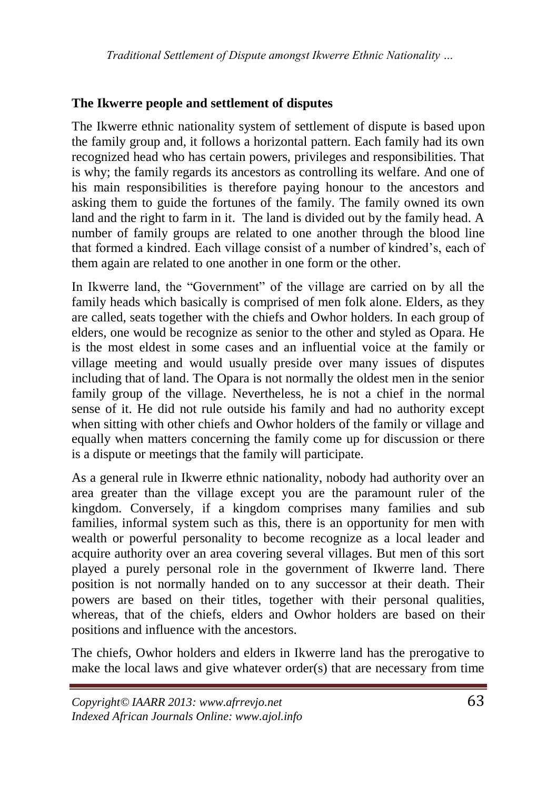### **The Ikwerre people and settlement of disputes**

The Ikwerre ethnic nationality system of settlement of dispute is based upon the family group and, it follows a horizontal pattern. Each family had its own recognized head who has certain powers, privileges and responsibilities. That is why; the family regards its ancestors as controlling its welfare. And one of his main responsibilities is therefore paying honour to the ancestors and asking them to guide the fortunes of the family. The family owned its own land and the right to farm in it. The land is divided out by the family head. A number of family groups are related to one another through the blood line that formed a kindred. Each village consist of a number of kindred's, each of them again are related to one another in one form or the other.

In Ikwerre land, the "Government" of the village are carried on by all the family heads which basically is comprised of men folk alone. Elders, as they are called, seats together with the chiefs and Owhor holders. In each group of elders, one would be recognize as senior to the other and styled as Opara. He is the most eldest in some cases and an influential voice at the family or village meeting and would usually preside over many issues of disputes including that of land. The Opara is not normally the oldest men in the senior family group of the village. Nevertheless, he is not a chief in the normal sense of it. He did not rule outside his family and had no authority except when sitting with other chiefs and Owhor holders of the family or village and equally when matters concerning the family come up for discussion or there is a dispute or meetings that the family will participate.

As a general rule in Ikwerre ethnic nationality, nobody had authority over an area greater than the village except you are the paramount ruler of the kingdom. Conversely, if a kingdom comprises many families and sub families, informal system such as this, there is an opportunity for men with wealth or powerful personality to become recognize as a local leader and acquire authority over an area covering several villages. But men of this sort played a purely personal role in the government of Ikwerre land. There position is not normally handed on to any successor at their death. Their powers are based on their titles, together with their personal qualities, whereas, that of the chiefs, elders and Owhor holders are based on their positions and influence with the ancestors.

The chiefs, Owhor holders and elders in Ikwerre land has the prerogative to make the local laws and give whatever order(s) that are necessary from time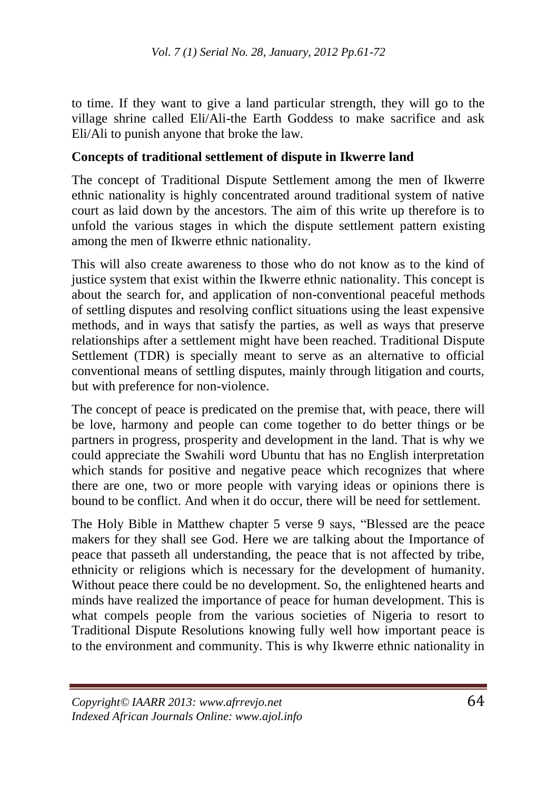to time. If they want to give a land particular strength, they will go to the village shrine called Eli/Ali-the Earth Goddess to make sacrifice and ask Eli/Ali to punish anyone that broke the law.

### **Concepts of traditional settlement of dispute in Ikwerre land**

The concept of Traditional Dispute Settlement among the men of Ikwerre ethnic nationality is highly concentrated around traditional system of native court as laid down by the ancestors. The aim of this write up therefore is to unfold the various stages in which the dispute settlement pattern existing among the men of Ikwerre ethnic nationality.

This will also create awareness to those who do not know as to the kind of justice system that exist within the Ikwerre ethnic nationality. This concept is about the search for, and application of non-conventional peaceful methods of settling disputes and resolving conflict situations using the least expensive methods, and in ways that satisfy the parties, as well as ways that preserve relationships after a settlement might have been reached. Traditional Dispute Settlement (TDR) is specially meant to serve as an alternative to official conventional means of settling disputes, mainly through litigation and courts, but with preference for non-violence.

The concept of peace is predicated on the premise that, with peace, there will be love, harmony and people can come together to do better things or be partners in progress, prosperity and development in the land. That is why we could appreciate the Swahili word Ubuntu that has no English interpretation which stands for positive and negative peace which recognizes that where there are one, two or more people with varying ideas or opinions there is bound to be conflict. And when it do occur, there will be need for settlement.

The Holy Bible in Matthew chapter 5 verse 9 says, "Blessed are the peace makers for they shall see God. Here we are talking about the Importance of peace that passeth all understanding, the peace that is not affected by tribe, ethnicity or religions which is necessary for the development of humanity. Without peace there could be no development. So, the enlightened hearts and minds have realized the importance of peace for human development. This is what compels people from the various societies of Nigeria to resort to Traditional Dispute Resolutions knowing fully well how important peace is to the environment and community. This is why Ikwerre ethnic nationality in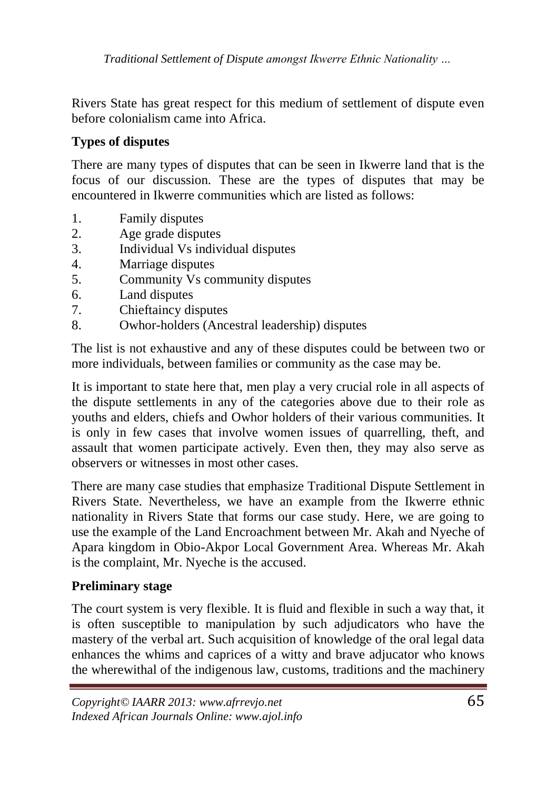*Traditional Settlement of Dispute amongst Ikwerre Ethnic Nationality …*

Rivers State has great respect for this medium of settlement of dispute even before colonialism came into Africa.

## **Types of disputes**

There are many types of disputes that can be seen in Ikwerre land that is the focus of our discussion. These are the types of disputes that may be encountered in Ikwerre communities which are listed as follows:

- 1. Family disputes
- 2. Age grade disputes
- 3. Individual Vs individual disputes
- 4. Marriage disputes<br>5 Community Vs.co
- 5. Community Vs community disputes
- 6. Land disputes
- 7. Chieftaincy disputes
- 8. Owhor-holders (Ancestral leadership) disputes

The list is not exhaustive and any of these disputes could be between two or more individuals, between families or community as the case may be.

It is important to state here that, men play a very crucial role in all aspects of the dispute settlements in any of the categories above due to their role as youths and elders, chiefs and Owhor holders of their various communities. It is only in few cases that involve women issues of quarrelling, theft, and assault that women participate actively. Even then, they may also serve as observers or witnesses in most other cases.

There are many case studies that emphasize Traditional Dispute Settlement in Rivers State. Nevertheless, we have an example from the Ikwerre ethnic nationality in Rivers State that forms our case study. Here, we are going to use the example of the Land Encroachment between Mr. Akah and Nyeche of Apara kingdom in Obio-Akpor Local Government Area. Whereas Mr. Akah is the complaint, Mr. Nyeche is the accused.

### **Preliminary stage**

The court system is very flexible. It is fluid and flexible in such a way that, it is often susceptible to manipulation by such adjudicators who have the mastery of the verbal art. Such acquisition of knowledge of the oral legal data enhances the whims and caprices of a witty and brave adjucator who knows the wherewithal of the indigenous law, customs, traditions and the machinery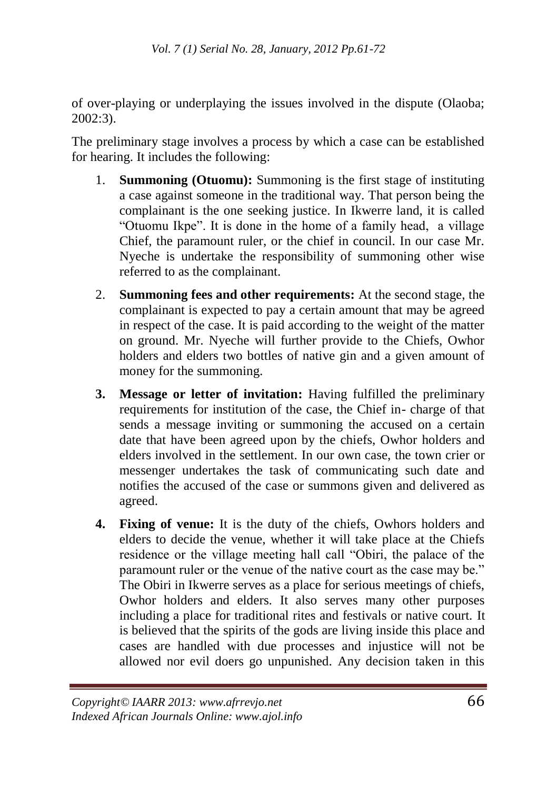of over-playing or underplaying the issues involved in the dispute (Olaoba; 2002:3).

The preliminary stage involves a process by which a case can be established for hearing. It includes the following:

- 1. **Summoning (Otuomu):** Summoning is the first stage of instituting a case against someone in the traditional way. That person being the complainant is the one seeking justice. In Ikwerre land, it is called "Otuomu Ikpe". It is done in the home of a family head, a village Chief, the paramount ruler, or the chief in council. In our case Mr. Nyeche is undertake the responsibility of summoning other wise referred to as the complainant.
- 2. **Summoning fees and other requirements:** At the second stage, the complainant is expected to pay a certain amount that may be agreed in respect of the case. It is paid according to the weight of the matter on ground. Mr. Nyeche will further provide to the Chiefs, Owhor holders and elders two bottles of native gin and a given amount of money for the summoning.
- **3. Message or letter of invitation:** Having fulfilled the preliminary requirements for institution of the case, the Chief in- charge of that sends a message inviting or summoning the accused on a certain date that have been agreed upon by the chiefs, Owhor holders and elders involved in the settlement. In our own case, the town crier or messenger undertakes the task of communicating such date and notifies the accused of the case or summons given and delivered as agreed.
- **4. Fixing of venue:** It is the duty of the chiefs, Owhors holders and elders to decide the venue, whether it will take place at the Chiefs residence or the village meeting hall call "Obiri, the palace of the paramount ruler or the venue of the native court as the case may be." The Obiri in Ikwerre serves as a place for serious meetings of chiefs, Owhor holders and elders. It also serves many other purposes including a place for traditional rites and festivals or native court. It is believed that the spirits of the gods are living inside this place and cases are handled with due processes and injustice will not be allowed nor evil doers go unpunished. Any decision taken in this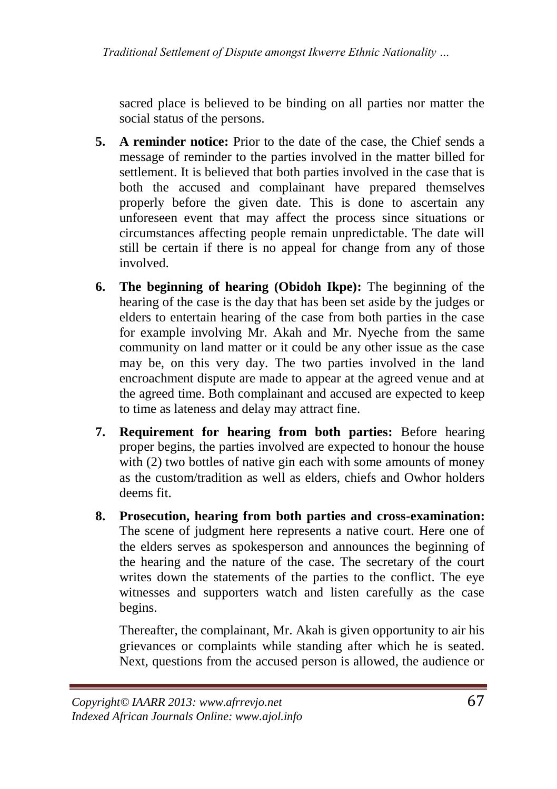sacred place is believed to be binding on all parties nor matter the social status of the persons.

- **5. A reminder notice:** Prior to the date of the case, the Chief sends a message of reminder to the parties involved in the matter billed for settlement. It is believed that both parties involved in the case that is both the accused and complainant have prepared themselves properly before the given date. This is done to ascertain any unforeseen event that may affect the process since situations or circumstances affecting people remain unpredictable. The date will still be certain if there is no appeal for change from any of those involved.
- **6. The beginning of hearing (Obidoh Ikpe):** The beginning of the hearing of the case is the day that has been set aside by the judges or elders to entertain hearing of the case from both parties in the case for example involving Mr. Akah and Mr. Nyeche from the same community on land matter or it could be any other issue as the case may be, on this very day. The two parties involved in the land encroachment dispute are made to appear at the agreed venue and at the agreed time. Both complainant and accused are expected to keep to time as lateness and delay may attract fine.
- **7. Requirement for hearing from both parties:** Before hearing proper begins, the parties involved are expected to honour the house with (2) two bottles of native gin each with some amounts of money as the custom/tradition as well as elders, chiefs and Owhor holders deems fit.
- **8. Prosecution, hearing from both parties and cross-examination:**  The scene of judgment here represents a native court. Here one of the elders serves as spokesperson and announces the beginning of the hearing and the nature of the case. The secretary of the court writes down the statements of the parties to the conflict. The eye witnesses and supporters watch and listen carefully as the case begins.

Thereafter, the complainant, Mr. Akah is given opportunity to air his grievances or complaints while standing after which he is seated. Next, questions from the accused person is allowed, the audience or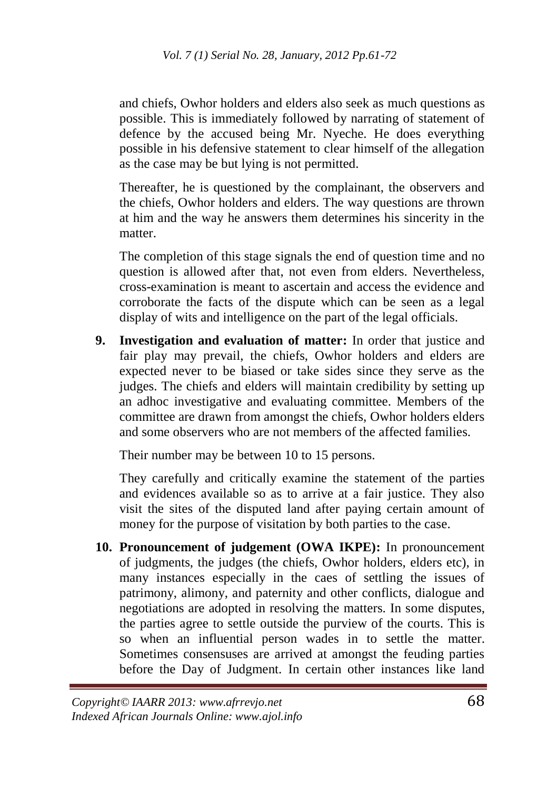and chiefs, Owhor holders and elders also seek as much questions as possible. This is immediately followed by narrating of statement of defence by the accused being Mr. Nyeche. He does everything possible in his defensive statement to clear himself of the allegation as the case may be but lying is not permitted.

Thereafter, he is questioned by the complainant, the observers and the chiefs, Owhor holders and elders. The way questions are thrown at him and the way he answers them determines his sincerity in the matter.

The completion of this stage signals the end of question time and no question is allowed after that, not even from elders. Nevertheless, cross-examination is meant to ascertain and access the evidence and corroborate the facts of the dispute which can be seen as a legal display of wits and intelligence on the part of the legal officials.

**9. Investigation and evaluation of matter:** In order that justice and fair play may prevail, the chiefs, Owhor holders and elders are expected never to be biased or take sides since they serve as the judges. The chiefs and elders will maintain credibility by setting up an adhoc investigative and evaluating committee. Members of the committee are drawn from amongst the chiefs, Owhor holders elders and some observers who are not members of the affected families.

Their number may be between 10 to 15 persons.

They carefully and critically examine the statement of the parties and evidences available so as to arrive at a fair justice. They also visit the sites of the disputed land after paying certain amount of money for the purpose of visitation by both parties to the case.

**10. Pronouncement of judgement (OWA IKPE):** In pronouncement of judgments, the judges (the chiefs, Owhor holders, elders etc), in many instances especially in the caes of settling the issues of patrimony, alimony, and paternity and other conflicts, dialogue and negotiations are adopted in resolving the matters. In some disputes, the parties agree to settle outside the purview of the courts. This is so when an influential person wades in to settle the matter. Sometimes consensuses are arrived at amongst the feuding parties before the Day of Judgment. In certain other instances like land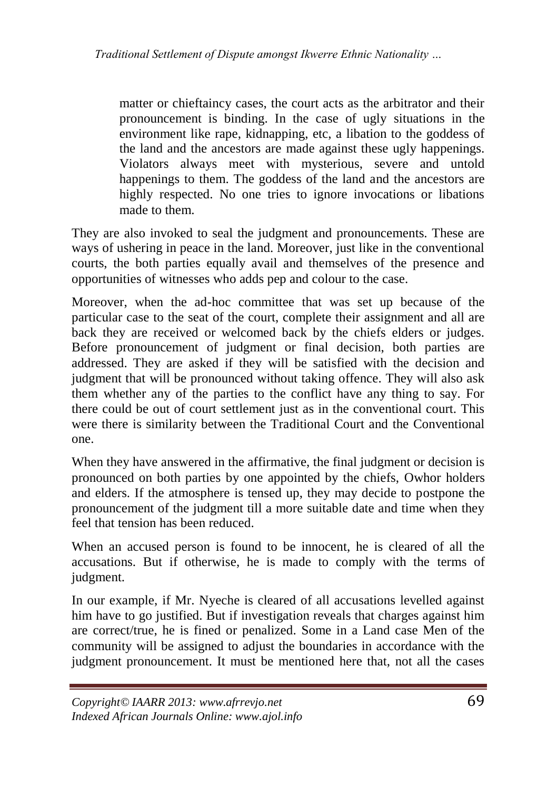matter or chieftaincy cases, the court acts as the arbitrator and their pronouncement is binding. In the case of ugly situations in the environment like rape, kidnapping, etc, a libation to the goddess of the land and the ancestors are made against these ugly happenings. Violators always meet with mysterious, severe and untold happenings to them. The goddess of the land and the ancestors are highly respected. No one tries to ignore invocations or libations made to them.

They are also invoked to seal the judgment and pronouncements. These are ways of ushering in peace in the land. Moreover, just like in the conventional courts, the both parties equally avail and themselves of the presence and opportunities of witnesses who adds pep and colour to the case.

Moreover, when the ad-hoc committee that was set up because of the particular case to the seat of the court, complete their assignment and all are back they are received or welcomed back by the chiefs elders or judges. Before pronouncement of judgment or final decision, both parties are addressed. They are asked if they will be satisfied with the decision and judgment that will be pronounced without taking offence. They will also ask them whether any of the parties to the conflict have any thing to say. For there could be out of court settlement just as in the conventional court. This were there is similarity between the Traditional Court and the Conventional one.

When they have answered in the affirmative, the final judgment or decision is pronounced on both parties by one appointed by the chiefs, Owhor holders and elders. If the atmosphere is tensed up, they may decide to postpone the pronouncement of the judgment till a more suitable date and time when they feel that tension has been reduced.

When an accused person is found to be innocent, he is cleared of all the accusations. But if otherwise, he is made to comply with the terms of judgment.

In our example, if Mr. Nyeche is cleared of all accusations levelled against him have to go justified. But if investigation reveals that charges against him are correct/true, he is fined or penalized. Some in a Land case Men of the community will be assigned to adjust the boundaries in accordance with the judgment pronouncement. It must be mentioned here that, not all the cases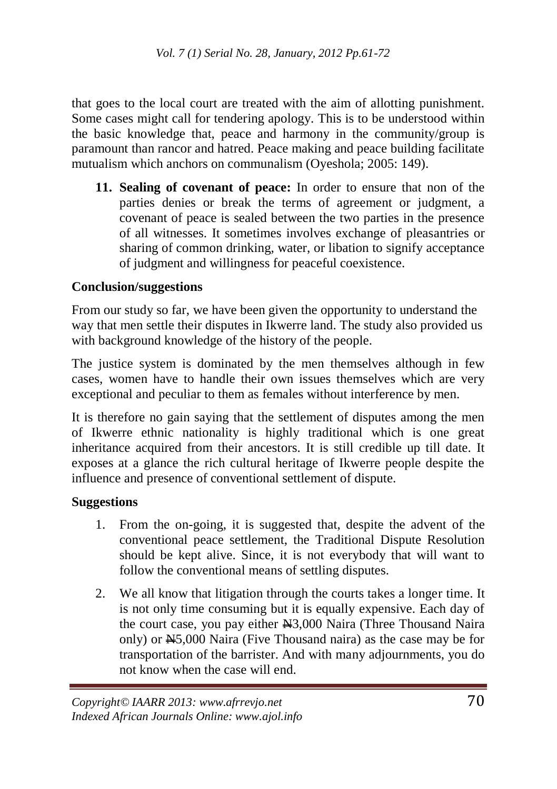that goes to the local court are treated with the aim of allotting punishment. Some cases might call for tendering apology. This is to be understood within the basic knowledge that, peace and harmony in the community/group is paramount than rancor and hatred. Peace making and peace building facilitate mutualism which anchors on communalism (Oyeshola; 2005: 149).

**11. Sealing of covenant of peace:** In order to ensure that non of the parties denies or break the terms of agreement or judgment, a covenant of peace is sealed between the two parties in the presence of all witnesses. It sometimes involves exchange of pleasantries or sharing of common drinking, water, or libation to signify acceptance of judgment and willingness for peaceful coexistence.

### **Conclusion/suggestions**

From our study so far, we have been given the opportunity to understand the way that men settle their disputes in Ikwerre land. The study also provided us with background knowledge of the history of the people.

The justice system is dominated by the men themselves although in few cases, women have to handle their own issues themselves which are very exceptional and peculiar to them as females without interference by men.

It is therefore no gain saying that the settlement of disputes among the men of Ikwerre ethnic nationality is highly traditional which is one great inheritance acquired from their ancestors. It is still credible up till date. It exposes at a glance the rich cultural heritage of Ikwerre people despite the influence and presence of conventional settlement of dispute.

#### **Suggestions**

- 1. From the on-going, it is suggested that, despite the advent of the conventional peace settlement, the Traditional Dispute Resolution should be kept alive. Since, it is not everybody that will want to follow the conventional means of settling disputes.
- 2. We all know that litigation through the courts takes a longer time. It is not only time consuming but it is equally expensive. Each day of the court case, you pay either  $\frac{12000 \text{ N} }{4}$  (Three Thousand Naira only) or N5,000 Naira (Five Thousand naira) as the case may be for transportation of the barrister. And with many adjournments, you do not know when the case will end.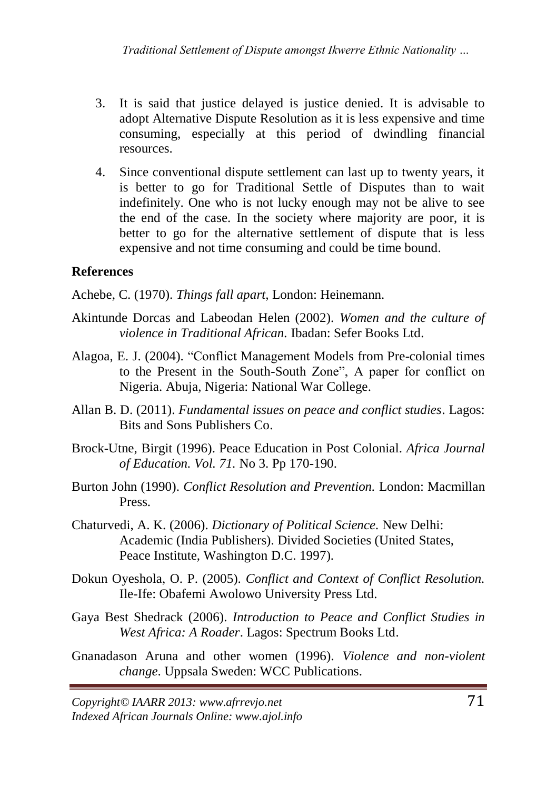- 3. It is said that justice delayed is justice denied. It is advisable to adopt Alternative Dispute Resolution as it is less expensive and time consuming, especially at this period of dwindling financial resources.
- 4. Since conventional dispute settlement can last up to twenty years, it is better to go for Traditional Settle of Disputes than to wait indefinitely. One who is not lucky enough may not be alive to see the end of the case. In the society where majority are poor, it is better to go for the alternative settlement of dispute that is less expensive and not time consuming and could be time bound.

### **References**

Achebe, C. (1970). *Things fall apart,* London: Heinemann.

- Akintunde Dorcas and Labeodan Helen (2002). *Women and the culture of violence in Traditional African.* Ibadan: Sefer Books Ltd.
- Alagoa. E. J. (2004). "Conflict Management Models from Pre-colonial times to the Present in the South-South Zone", A paper for conflict on Nigeria. Abuja, Nigeria: National War College.
- Allan B. D. (2011). *Fundamental issues on peace and conflict studies*. Lagos: Bits and Sons Publishers Co.
- Brock-Utne, Birgit (1996). Peace Education in Post Colonial. *Africa Journal of Education. Vol. 71.* No 3. Pp 170-190.
- Burton John (1990). *Conflict Resolution and Prevention.* London: Macmillan Press.
- Chaturvedi, A. K. (2006). *Dictionary of Political Science.* New Delhi: Academic (India Publishers). Divided Societies (United States, Peace Institute, Washington D.C. 1997).
- Dokun Oyeshola, O. P. (2005). *Conflict and Context of Conflict Resolution.* Ile-Ife: Obafemi Awolowo University Press Ltd.
- Gaya Best Shedrack (2006). *Introduction to Peace and Conflict Studies in West Africa: A Roader*. Lagos: Spectrum Books Ltd.
- Gnanadason Aruna and other women (1996). *Violence and non-violent change*. Uppsala Sweden: WCC Publications.